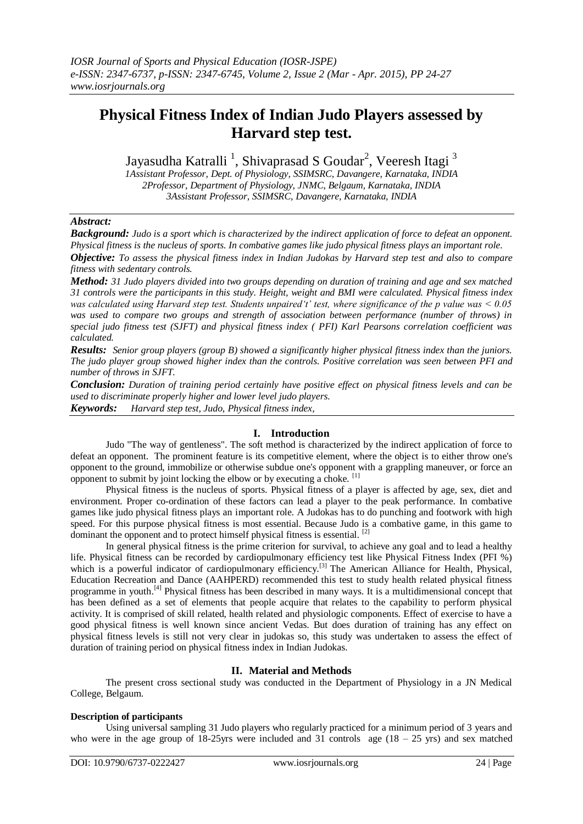# **Physical Fitness Index of Indian Judo Players assessed by Harvard step test.**

Jayasudha Katralli <sup>1</sup>, Shivaprasad S Goudar<sup>2</sup>, Veeresh Itagi <sup>3</sup>

*1Assistant Professor, Dept. of Physiology, SSIMSRC, Davangere, Karnataka, INDIA 2Professor, Department of Physiology, JNMC, Belgaum, Karnataka, INDIA 3Assistant Professor, SSIMSRC, Davangere, Karnataka, INDIA*

## *Abstract:*

*Background: Judo is a sport which is characterized by the indirect application of force to defeat an opponent. Physical fitness is the nucleus of sports. In combative games like judo physical fitness plays an important role. Objective: To assess the physical fitness index in Indian Judokas by Harvard step test and also to compare fitness with sedentary controls.*

*Method: 31 Judo players divided into two groups depending on duration of training and age and sex matched 31 controls were the participants in this study. Height, weight and BMI were calculated. Physical fitness index was calculated using Harvard step test. Students unpaired't' test, where significance of the p value was < 0.05 was used to compare two groups and strength of association between performance (number of throws) in special judo fitness test (SJFT) and physical fitness index ( PFI) Karl Pearsons correlation coefficient was calculated.*

*Results: Senior group players (group B) showed a significantly higher physical fitness index than the juniors. The judo player group showed higher index than the controls. Positive correlation was seen between PFI and number of throws in SJFT.*

*Conclusion: Duration of training period certainly have positive effect on physical fitness levels and can be used to discriminate properly higher and lower level judo players. Keywords: Harvard step test, Judo, Physical fitness index,*

## **I. Introduction**

Judo "The way of gentleness". The soft method is characterized by the indirect application of force to defeat an opponent. The prominent feature is its competitive element, where the object is to either [throw](http://en.wikipedia.org/wiki/Throw_(grappling)) one's opponent to the ground, immobilize or otherwise subdue one's opponent with a [grappling](http://en.wikipedia.org/wiki/Grappling) maneuver, or force an opponent to submit by joint locking the elbow or by executing a choke.  $^{[1]}$ 

Physical fitness is the nucleus of sports. Physical fitness of a player is affected by age, sex, diet and environment. Proper co-ordination of these factors can lead a player to the peak performance. In combative games like judo physical fitness plays an important role. A Judokas has to do punching and footwork with high speed. For this purpose physical fitness is most essential. Because Judo is a combative game, in this game to dominant the opponent and to protect himself physical fitness is essential. <sup>[2]</sup>

In general physical fitness is the prime criterion for survival, to achieve any goal and to lead a healthy life. Physical fitness can be recorded by cardiopulmonary efficiency test like Physical Fitness Index (PFI %) which is a powerful indicator of cardiopulmonary efficiency.<sup>[3]</sup> The American Alliance for Health, Physical, Education Recreation and Dance (AAHPERD) recommended this test to study health related physical fitness programme in youth.[4] Physical fitness has been described in many ways. It is a multidimensional concept that has been defined as a set of elements that people acquire that relates to the capability to perform physical activity. It is comprised of skill related, health related and physiologic components. Effect of exercise to have a good physical fitness is well known since ancient Vedas. But does duration of training has any effect on physical fitness levels is still not very clear in judokas so, this study was undertaken to assess the effect of duration of training period on physical fitness index in Indian Judokas.

## **II. Material and Methods**

The present cross sectional study was conducted in the Department of Physiology in a JN Medical College, Belgaum.

## **Description of participants**

Using universal sampling 31 Judo players who regularly practiced for a minimum period of 3 years and who were in the age group of 18-25yrs were included and 31 controls age  $(18 - 25 \text{ yrs})$  and sex matched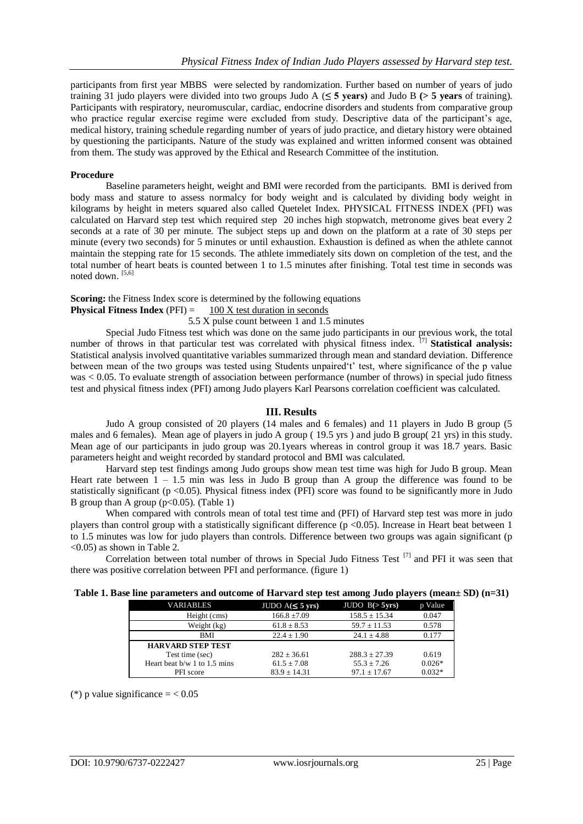participants from first year MBBS were selected by randomization. Further based on number of years of judo training 31 judo players were divided into two groups Judo A (**≤ 5 years)** and Judo B **(> 5 years** of training). Participants with respiratory, neuromuscular, cardiac, endocrine disorders and students from comparative group who practice regular exercise regime were excluded from study. Descriptive data of the participant's age, medical history, training schedule regarding number of years of judo practice, and dietary history were obtained by questioning the participants. Nature of the study was explained and written informed consent was obtained from them. The study was approved by the Ethical and Research Committee of the institution.

#### **Procedure**

Baseline parameters height, weight and BMI were recorded from the participants. BMI is derived from body mass and stature to assess normalcy for body weight and is calculated by dividing body weight in kilograms by height in meters squared also called Quetelet Index. PHYSICAL FITNESS INDEX (PFI) was calculated on Harvard step test which required step 20 inches high stopwatch, metronome gives beat every 2 seconds at a rate of 30 per minute. The subject steps up and down on the platform at a rate of 30 steps per minute (every two seconds) for 5 minutes or until exhaustion. Exhaustion is defined as when the athlete cannot maintain the stepping rate for 15 seconds. The athlete immediately sits down on completion of the test, and the total number of heart beats is counted between 1 to 1.5 minutes after finishing. Total test time in seconds was noted down. [5,6]

#### **Scoring:** the Fitness Index score is determined by the following equations

**Physical Fitness Index** ( $PFI$ ) = 100 X test duration in seconds

5.5 X pulse count between 1 and 1.5 minutes

Special Judo Fitness test which was done on the same judo participants in our previous work, the total number of throws in that particular test was correlated with physical fitness index. <sup>[7]</sup> **Statistical analysis:** Statistical analysis involved quantitative variables summarized through mean and standard deviation. Difference between mean of the two groups was tested using Students unpaired 't' test, where significance of the p value was < 0.05. To evaluate strength of association between performance (number of throws) in special judo fitness test and physical fitness index (PFI) among Judo players Karl Pearsons correlation coefficient was calculated.

#### **III. Results**

Judo A group consisted of 20 players (14 males and 6 females) and 11 players in Judo B group (5 males and 6 females). Mean age of players in judo A group ( 19.5 yrs ) and judo B group( 21 yrs) in this study. Mean age of our participants in judo group was 20.1years whereas in control group it was 18.7 years. Basic parameters height and weight recorded by standard protocol and BMI was calculated.

Harvard step test findings among Judo groups show mean test time was high for Judo B group. Mean Heart rate between  $1 - 1.5$  min was less in Judo B group than A group the difference was found to be statistically significant ( $p < 0.05$ ). Physical fitness index (PFI) score was found to be significantly more in Judo B group than A group ( $p<0.05$ ). (Table 1)

When compared with controls mean of total test time and (PFI) of Harvard step test was more in judo players than control group with a statistically significant difference (p <0.05). Increase in Heart beat between 1 to 1.5 minutes was low for judo players than controls. Difference between two groups was again significant (p <0.05) as shown in Table 2.

Correlation between total number of throws in Special Judo Fitness Test [7] and PFI it was seen that there was positive correlation between PFI and performance. (figure 1)

#### **Table 1. Base line parameters and outcome of Harvard step test among Judo players (mean± SD) (n=31)**

| <b>VARIABLES</b>               | JUDO $A(\leq 5 \text{ yrs})$ | JUDO B(>5yrs)     | p Value  |
|--------------------------------|------------------------------|-------------------|----------|
| Height (cms)                   | $166.8 \pm 7.09$             | $158.5 \pm 15.34$ | 0.047    |
| Weight (kg)                    | $61.8 \pm 8.53$              | $59.7 \pm 11.53$  | 0.578    |
| BMI                            | $22.4 \pm 1.90$              | $24.1 \pm 4.88$   | 0.177    |
| <b>HARVARD STEP TEST</b>       |                              |                   |          |
| Test time (sec)                | $282 \pm 36.61$              | $288.3 + 27.39$   | 0.619    |
| Heart beat $b/w$ 1 to 1.5 mins | $61.5 \pm 7.08$              | $55.3 + 7.26$     | $0.026*$ |
| PFI score                      | $83.9 + 14.31$               | $97.1 + 17.67$    | $0.032*$ |

(\*) p value significance  $= < 0.05$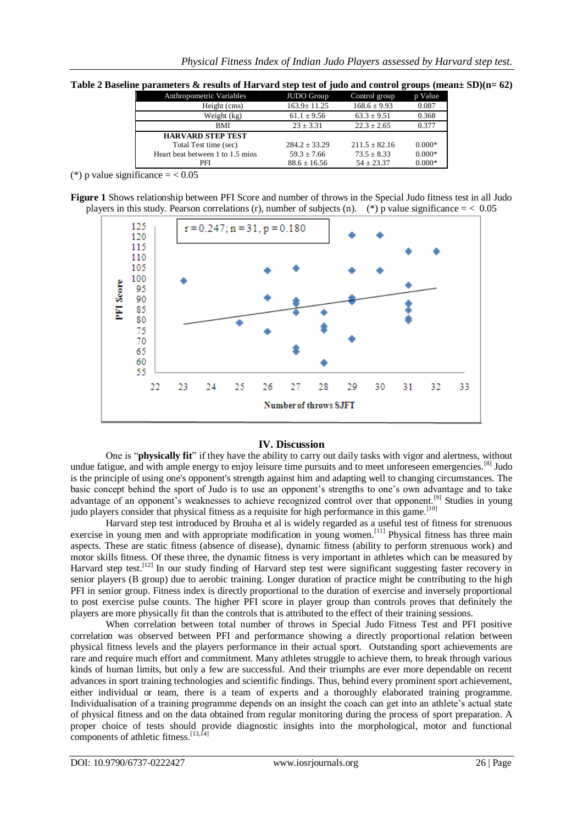|  | Table 2 Baseline parameters & results of Harvard step test of judo and control groups (mean $\pm$ SD)(n= 62) |  |  |
|--|--------------------------------------------------------------------------------------------------------------|--|--|
|  |                                                                                                              |  |  |

| Anthropometric Variables         | <b>JUDO</b> Group | Control group    | p Value  |
|----------------------------------|-------------------|------------------|----------|
| Height (cms)                     | $163.9 \pm 11.25$ | $168.6 \pm 9.93$ | 0.087    |
| Weight (kg)                      | $61.1 \pm 9.56$   | $63.3 \pm 9.51$  | 0.368    |
| BMI                              | $23 + 3.31$       | $22.3 + 2.65$    | 0.377    |
| <b>HARVARD STEP TEST</b>         |                   |                  |          |
| Total Test time (sec)            | $284.2 + 33.29$   | $211.5 + 82.16$  | $0.000*$ |
| Heart beat between 1 to 1.5 mins | $59.3 + 7.66$     | $73.5 + 8.33$    | $0.000*$ |
| PFI                              | $88.6 \pm 16.56$  | $54 + 23.37$     | $0.000*$ |

(\*) p value significance  $=$  < 0.05

|                                                                                                              | Figure 1 Shows relationship between PFI Score and number of throws in the Special Judo fitness test in all Judo |
|--------------------------------------------------------------------------------------------------------------|-----------------------------------------------------------------------------------------------------------------|
| players in this study. Pearson correlations (r), number of subjects (n). (*) p value significance = $< 0.05$ |                                                                                                                 |



## **IV. Discussion**

One is "**physically fit**" if they have the ability to carry out daily tasks with vigor and alertness, without undue fatigue, and with ample energy to enjoy leisure time pursuits and to meet unforeseen emergencies.<sup>[8]</sup> Judo is the principle of using one's opponent's strength against him and adapting well to changing circumstances. The basic concept behind the sport of Judo is to use an opponent"s strengths to one"s own advantage and to take advantage of an opponent's weaknesses to achieve recognized control over that opponent.<sup>[9]</sup> Studies in young judo players consider that physical fitness as a requisite for high performance in this game.<sup>[10]</sup>

Harvard step test introduced by Brouha et al is widely regarded as a useful test of fitness for strenuous exercise in young men and with appropriate modification in young women.<sup>[11]</sup> Physical fitness has three main aspects. These are static fitness (absence of disease), dynamic fitness (ability to perform strenuous work) and motor skills fitness. Of these three, the dynamic fitness is very important in athletes which can be measured by Harvard step test.<sup>[12]</sup> In our study finding of Harvard step test were significant suggesting faster recovery in senior players (B group) due to aerobic training. Longer duration of practice might be contributing to the high PFI in senior group. Fitness index is directly proportional to the duration of exercise and inversely proportional to post exercise pulse counts. The higher PFI score in player group than controls proves that definitely the players are more physically fit than the controls that is attributed to the effect of their training sessions.

When correlation between total number of throws in Special Judo Fitness Test and PFI positive correlation was observed between PFI and performance showing a directly proportional relation between physical fitness levels and the players performance in their actual sport. Outstanding sport achievements are rare and require much effort and commitment. Many athletes struggle to achieve them, to break through various kinds of human limits, but only a few are successful. And their triumphs are ever more dependable on recent advances in sport training technologies and scientific findings. Thus, behind every prominent sport achievement, either individual or team, there is a team of experts and a thoroughly elaborated training programme. Individualisation of a training programme depends on an insight the coach can get into an athlete"s actual state of physical fitness and on the data obtained from regular monitoring during the process of sport preparation. A proper choice of tests should provide diagnostic insights into the morphological, motor and functional components of athletic fitness. $^{[13,\overline{14}]}$